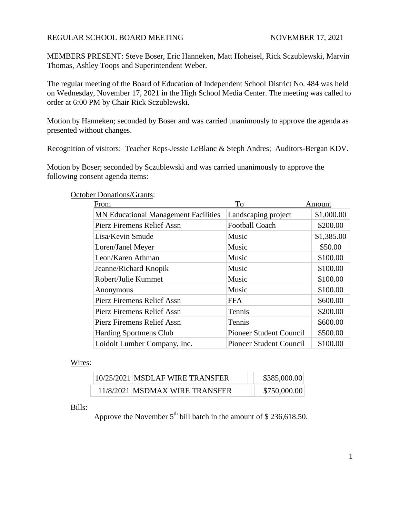### REGULAR SCHOOL BOARD MEETING NOVEMBER 17, 2021

MEMBERS PRESENT: Steve Boser, Eric Hanneken, Matt Hoheisel, Rick Sczublewski, Marvin Thomas, Ashley Toops and Superintendent Weber.

The regular meeting of the Board of Education of Independent School District No. 484 was held on Wednesday, November 17, 2021 in the High School Media Center. The meeting was called to order at 6:00 PM by Chair Rick Sczublewski.

Motion by Hanneken; seconded by Boser and was carried unanimously to approve the agenda as presented without changes.

Recognition of visitors: Teacher Reps-Jessie LeBlanc & Steph Andres; Auditors-Bergan KDV.

Motion by Boser; seconded by Sczublewski and was carried unanimously to approve the following consent agenda items:

#### October Donations/Grants:

| From                                        | <b>To</b>                      | Amount     |
|---------------------------------------------|--------------------------------|------------|
| <b>MN</b> Educational Management Facilities | Landscaping project            | \$1,000.00 |
| Pierz Firemens Relief Assn                  | <b>Football Coach</b>          | \$200.00   |
| Lisa/Kevin Smude                            | Music                          | \$1,385.00 |
| Loren/Janel Meyer                           | Music                          | \$50.00    |
| Leon/Karen Athman                           | Music                          | \$100.00   |
| Jeanne/Richard Knopik                       | Music                          | \$100.00   |
| Robert/Julie Kummet                         | Music                          | \$100.00   |
| Anonymous                                   | Music                          | \$100.00   |
| <b>Pierz Firemens Relief Assn</b>           | <b>FFA</b>                     | \$600.00   |
| Pierz Firemens Relief Assn                  | Tennis                         | \$200.00   |
| Pierz Firemens Relief Assn                  | Tennis                         | \$600.00   |
| <b>Harding Sportmens Club</b>               | <b>Pioneer Student Council</b> | \$500.00   |
| Loidolt Lumber Company, Inc.                | <b>Pioneer Student Council</b> | \$100.00   |

### Wires:

| $10/25/2021$ MSDLAF WIRE TRANSFER | \$385,000.00 |
|-----------------------------------|--------------|
| 11/8/2021 MSDMAX WIRE TRANSFER    | \$750,000.00 |

### Bills:

Approve the November  $5<sup>th</sup>$  bill batch in the amount of \$ 236,618.50.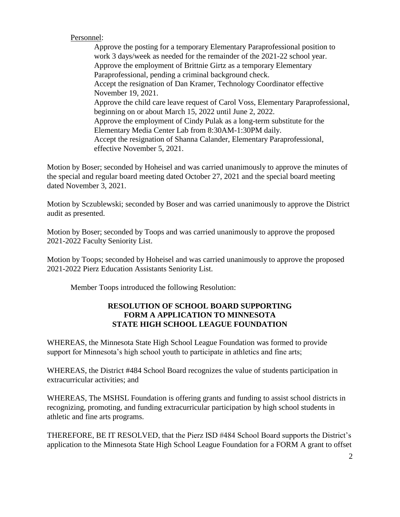## Personnel:

Approve the posting for a temporary Elementary Paraprofessional position to work 3 days/week as needed for the remainder of the 2021-22 school year. Approve the employment of Brittnie Girtz as a temporary Elementary Paraprofessional, pending a criminal background check. Accept the resignation of Dan Kramer, Technology Coordinator effective November 19, 2021. Approve the child care leave request of Carol Voss, Elementary Paraprofessional, beginning on or about March 15, 2022 until June 2, 2022. Approve the employment of Cindy Pulak as a long-term substitute for the Elementary Media Center Lab from 8:30AM-1:30PM daily. Accept the resignation of Shanna Calander, Elementary Paraprofessional, effective November 5, 2021.

Motion by Boser; seconded by Hoheisel and was carried unanimously to approve the minutes of the special and regular board meeting dated October 27, 2021 and the special board meeting dated November 3, 2021.

Motion by Sczublewski; seconded by Boser and was carried unanimously to approve the District audit as presented.

Motion by Boser; seconded by Toops and was carried unanimously to approve the proposed 2021-2022 Faculty Seniority List.

Motion by Toops; seconded by Hoheisel and was carried unanimously to approve the proposed 2021-2022 Pierz Education Assistants Seniority List.

Member Toops introduced the following Resolution:

# **RESOLUTION OF SCHOOL BOARD SUPPORTING FORM A APPLICATION TO MINNESOTA STATE HIGH SCHOOL LEAGUE FOUNDATION**

WHEREAS, the Minnesota State High School League Foundation was formed to provide support for Minnesota's high school youth to participate in athletics and fine arts;

WHEREAS, the District #484 School Board recognizes the value of students participation in extracurricular activities; and

WHEREAS, The MSHSL Foundation is offering grants and funding to assist school districts in recognizing, promoting, and funding extracurricular participation by high school students in athletic and fine arts programs.

THEREFORE, BE IT RESOLVED, that the Pierz ISD #484 School Board supports the District's application to the Minnesota State High School League Foundation for a FORM A grant to offset